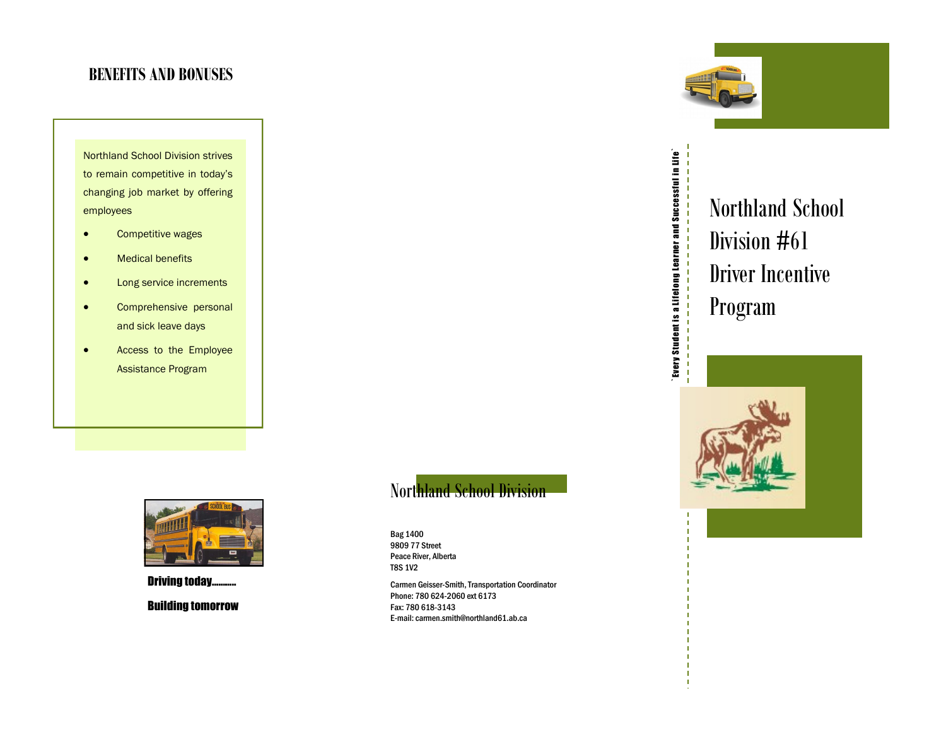#### **BENEFITS AND BONUSES**

Northland School Division strives to remain competitive in today's changing job market by offering employees

- **•** Competitive wages
- **•** Medical benefits
- **•** Long service increments
- Comprehensive personal and sick leave days
- Access to the Employee Assistance Program



**Driving today...** Building tomorrow

### Northland School Division

Bag 1400 9809 77 Street Peace River, Alberta T8S 1V2

Carmen Geisser-Smith, Transportation Coordinator Phone: 780 624-2060 ext 6173 Fax: 780 618-3143 E-mail: carmen.smith@northland61.ab.ca



# Northland School Division #61 Driver Incentive Program